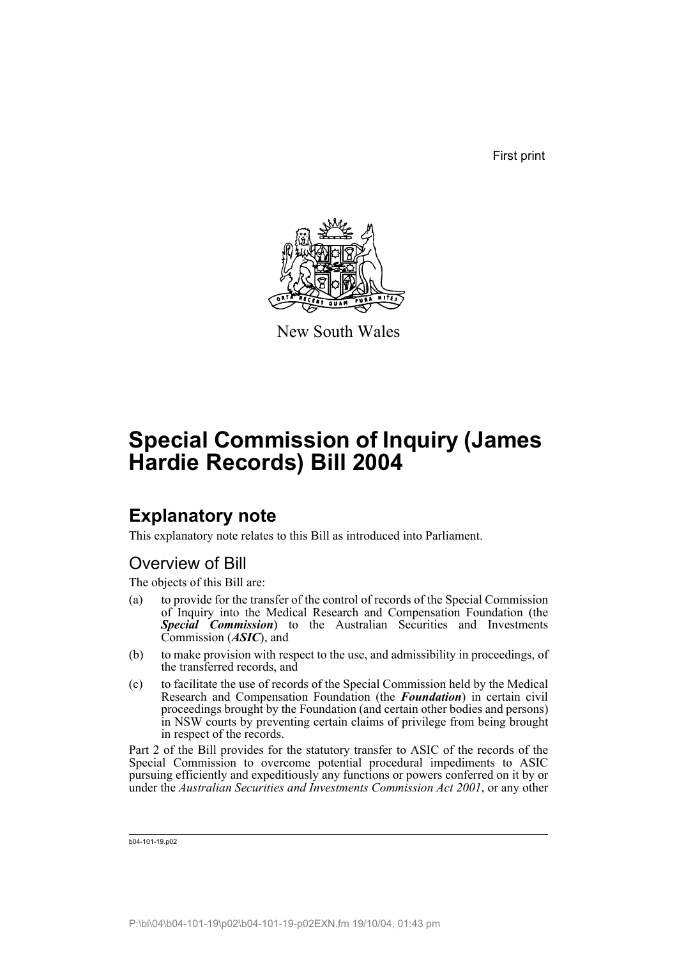First print



New South Wales

# **Special Commission of Inquiry (James Hardie Records) Bill 2004**

# **Explanatory note**

This explanatory note relates to this Bill as introduced into Parliament.

# Overview of Bill

The objects of this Bill are:

- (a) to provide for the transfer of the control of records of the Special Commission of Inquiry into the Medical Research and Compensation Foundation (the *Special Commission*) to the Australian Securities and Investments Commission (*ASIC*), and
- (b) to make provision with respect to the use, and admissibility in proceedings, of the transferred records, and
- (c) to facilitate the use of records of the Special Commission held by the Medical Research and Compensation Foundation (the *Foundation*) in certain civil proceedings brought by the Foundation (and certain other bodies and persons) in NSW courts by preventing certain claims of privilege from being brought in respect of the records.

Part 2 of the Bill provides for the statutory transfer to ASIC of the records of the Special Commission to overcome potential procedural impediments to ASIC pursuing efficiently and expeditiously any functions or powers conferred on it by or under the *Australian Securities and Investments Commission Act 2001*, or any other

b04-101-19.p02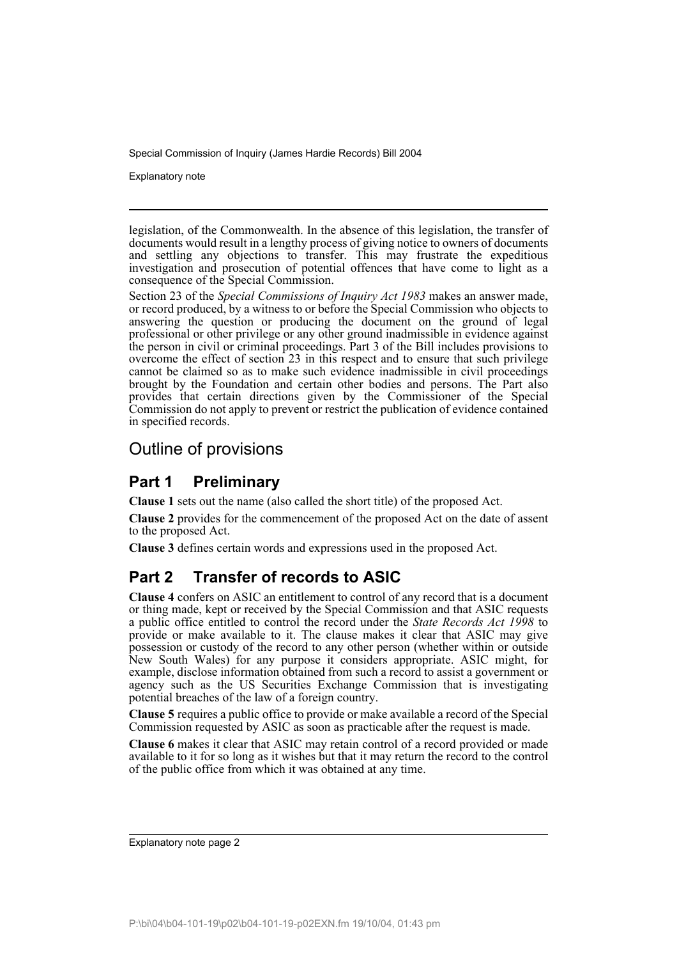Explanatory note

legislation, of the Commonwealth. In the absence of this legislation, the transfer of documents would result in a lengthy process of giving notice to owners of documents and settling any objections to transfer. This may frustrate the expeditious investigation and prosecution of potential offences that have come to light as a consequence of the Special Commission.

Section 23 of the *Special Commissions of Inquiry Act 1983* makes an answer made, or record produced, by a witness to or before the Special Commission who objects to answering the question or producing the document on the ground of legal professional or other privilege or any other ground inadmissible in evidence against the person in civil or criminal proceedings. Part 3 of the Bill includes provisions to overcome the effect of section 23 in this respect and to ensure that such privilege cannot be claimed so as to make such evidence inadmissible in civil proceedings brought by the Foundation and certain other bodies and persons. The Part also provides that certain directions given by the Commissioner of the Special Commission do not apply to prevent or restrict the publication of evidence contained in specified records.

# Outline of provisions

## **Part 1 Preliminary**

**Clause 1** sets out the name (also called the short title) of the proposed Act.

**Clause 2** provides for the commencement of the proposed Act on the date of assent to the proposed Act.

**Clause 3** defines certain words and expressions used in the proposed Act.

# **Part 2 Transfer of records to ASIC**

**Clause 4** confers on ASIC an entitlement to control of any record that is a document or thing made, kept or received by the Special Commission and that ASIC requests a public office entitled to control the record under the *State Records Act 1998* to provide or make available to it. The clause makes it clear that ASIC may give possession or custody of the record to any other person (whether within or outside New South Wales) for any purpose it considers appropriate. ASIC might, for example, disclose information obtained from such a record to assist a government or agency such as the US Securities Exchange Commission that is investigating potential breaches of the law of a foreign country.

**Clause 5** requires a public office to provide or make available a record of the Special Commission requested by ASIC as soon as practicable after the request is made.

**Clause 6** makes it clear that ASIC may retain control of a record provided or made available to it for so long as it wishes but that it may return the record to the control of the public office from which it was obtained at any time.

Explanatory note page 2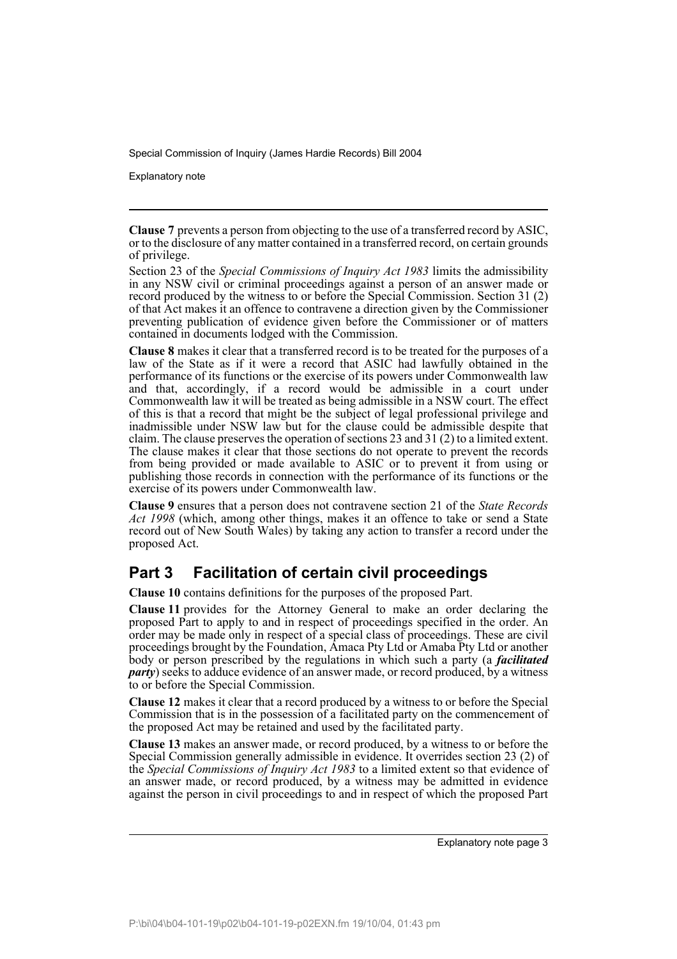Explanatory note

**Clause 7** prevents a person from objecting to the use of a transferred record by ASIC, or to the disclosure of any matter contained in a transferred record, on certain grounds of privilege.

Section 23 of the *Special Commissions of Inquiry Act 1983* limits the admissibility in any NSW civil or criminal proceedings against a person of an answer made or record produced by the witness to or before the Special Commission. Section 31 (2) of that Act makes it an offence to contravene a direction given by the Commissioner preventing publication of evidence given before the Commissioner or of matters contained in documents lodged with the Commission.

**Clause 8** makes it clear that a transferred record is to be treated for the purposes of a law of the State as if it were a record that ASIC had lawfully obtained in the performance of its functions or the exercise of its powers under Commonwealth law and that, accordingly, if a record would be admissible in a court under Commonwealth law it will be treated as being admissible in a NSW court. The effect of this is that a record that might be the subject of legal professional privilege and inadmissible under NSW law but for the clause could be admissible despite that claim. The clause preserves the operation of sections 23 and 31 (2) to a limited extent. The clause makes it clear that those sections do not operate to prevent the records from being provided or made available to ASIC or to prevent it from using or publishing those records in connection with the performance of its functions or the exercise of its powers under Commonwealth law.

**Clause 9** ensures that a person does not contravene section 21 of the *State Records Act 1998* (which, among other things, makes it an offence to take or send a State record out of New South Wales) by taking any action to transfer a record under the proposed Act.

# **Part 3 Facilitation of certain civil proceedings**

**Clause 10** contains definitions for the purposes of the proposed Part.

**Clause 11** provides for the Attorney General to make an order declaring the proposed Part to apply to and in respect of proceedings specified in the order. An order may be made only in respect of a special class of proceedings. These are civil proceedings brought by the Foundation, Amaca Pty Ltd or Amaba Pty Ltd or another body or person prescribed by the regulations in which such a party (a *facilitated party*) seeks to adduce evidence of an answer made, or record produced, by a witness to or before the Special Commission.

**Clause 12** makes it clear that a record produced by a witness to or before the Special Commission that is in the possession of a facilitated party on the commencement of the proposed Act may be retained and used by the facilitated party.

**Clause 13** makes an answer made, or record produced, by a witness to or before the Special Commission generally admissible in evidence. It overrides section 23 (2) of the *Special Commissions of Inquiry Act 1983* to a limited extent so that evidence of an answer made, or record produced, by a witness may be admitted in evidence against the person in civil proceedings to and in respect of which the proposed Part

Explanatory note page 3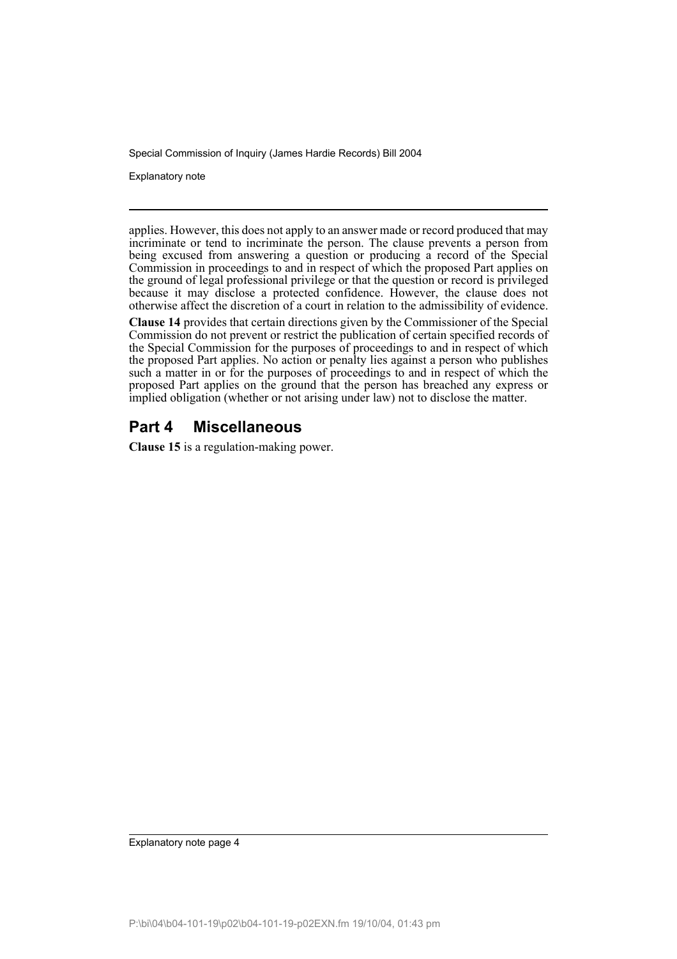Explanatory note

applies. However, this does not apply to an answer made or record produced that may incriminate or tend to incriminate the person. The clause prevents a person from being excused from answering a question or producing a record of the Special Commission in proceedings to and in respect of which the proposed Part applies on the ground of legal professional privilege or that the question or record is privileged because it may disclose a protected confidence. However, the clause does not otherwise affect the discretion of a court in relation to the admissibility of evidence.

**Clause 14** provides that certain directions given by the Commissioner of the Special Commission do not prevent or restrict the publication of certain specified records of the Special Commission for the purposes of proceedings to and in respect of which the proposed Part applies. No action or penalty lies against a person who publishes such a matter in or for the purposes of proceedings to and in respect of which the proposed Part applies on the ground that the person has breached any express or implied obligation (whether or not arising under law) not to disclose the matter.

## **Part 4 Miscellaneous**

**Clause 15** is a regulation-making power.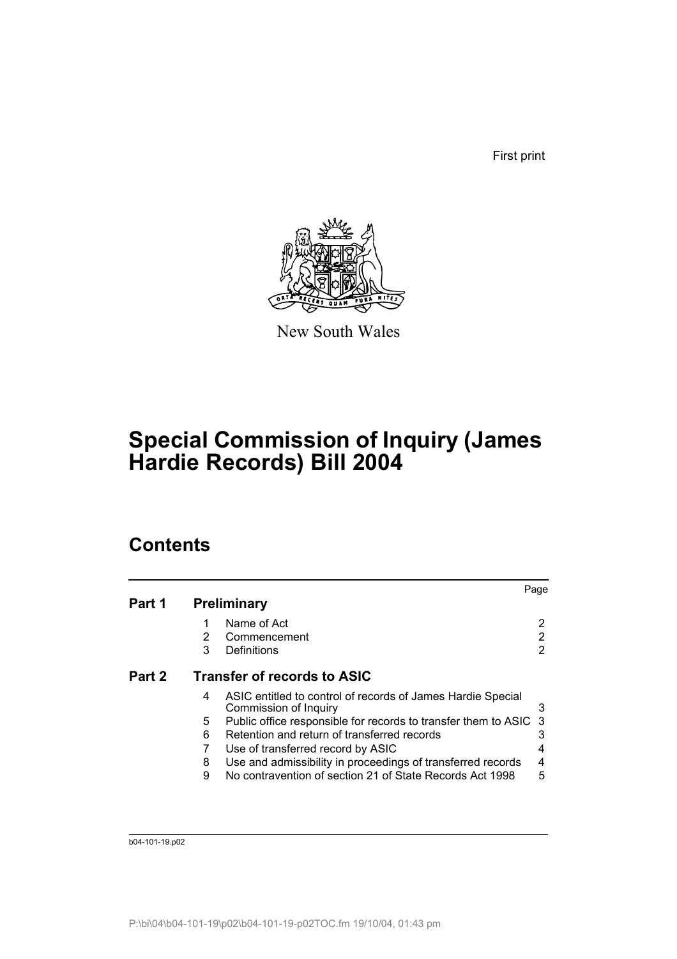First print



New South Wales

# **Special Commission of Inquiry (James Hardie Records) Bill 2004**

# **Contents**

|                                       |   |                                                                                      | Page |
|---------------------------------------|---|--------------------------------------------------------------------------------------|------|
| Part 1                                |   | <b>Preliminary</b>                                                                   |      |
|                                       |   | Name of Act                                                                          | 2    |
|                                       | 2 | Commencement                                                                         | 2    |
|                                       | 3 | Definitions                                                                          | 2    |
| Transfer of records to ASIC<br>Part 2 |   |                                                                                      |      |
|                                       | 4 | ASIC entitled to control of records of James Hardie Special<br>Commission of Inquiry | 3    |
|                                       | 5 | Public office responsible for records to transfer them to ASIC                       | -3   |
|                                       | 6 | Retention and return of transferred records                                          |      |
|                                       |   | Use of transferred record by ASIC                                                    | 4    |
|                                       | 8 | Use and admissibility in proceedings of transferred records                          | 4    |
|                                       | 9 | No contravention of section 21 of State Records Act 1998                             | 5    |
|                                       |   |                                                                                      |      |

b04-101-19.p02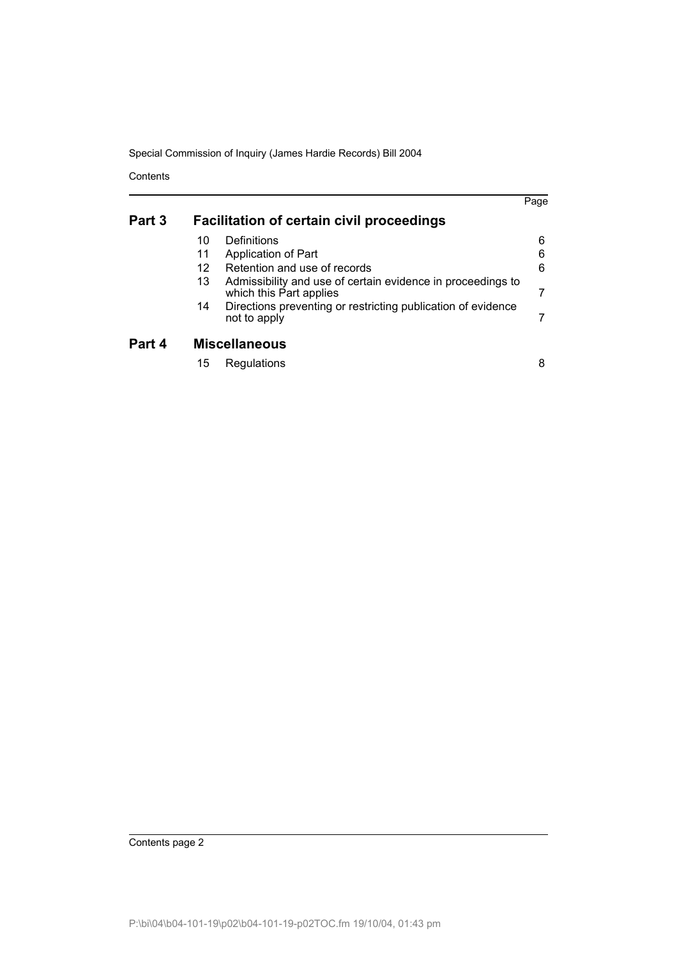**Contents** 

|        |                                                  |                                                                                        | Page |  |  |
|--------|--------------------------------------------------|----------------------------------------------------------------------------------------|------|--|--|
|        |                                                  |                                                                                        |      |  |  |
| Part 3 | <b>Facilitation of certain civil proceedings</b> |                                                                                        |      |  |  |
|        | 10                                               | Definitions                                                                            | 6    |  |  |
|        | 11                                               | Application of Part                                                                    | 6    |  |  |
|        | 12                                               | Retention and use of records                                                           | 6    |  |  |
|        | 13                                               | Admissibility and use of certain evidence in proceedings to<br>which this Part applies |      |  |  |
|        | 14                                               | Directions preventing or restricting publication of evidence<br>not to apply           |      |  |  |
| Part 4 | <b>Miscellaneous</b>                             |                                                                                        |      |  |  |
|        | 15                                               | Regulations                                                                            | 8    |  |  |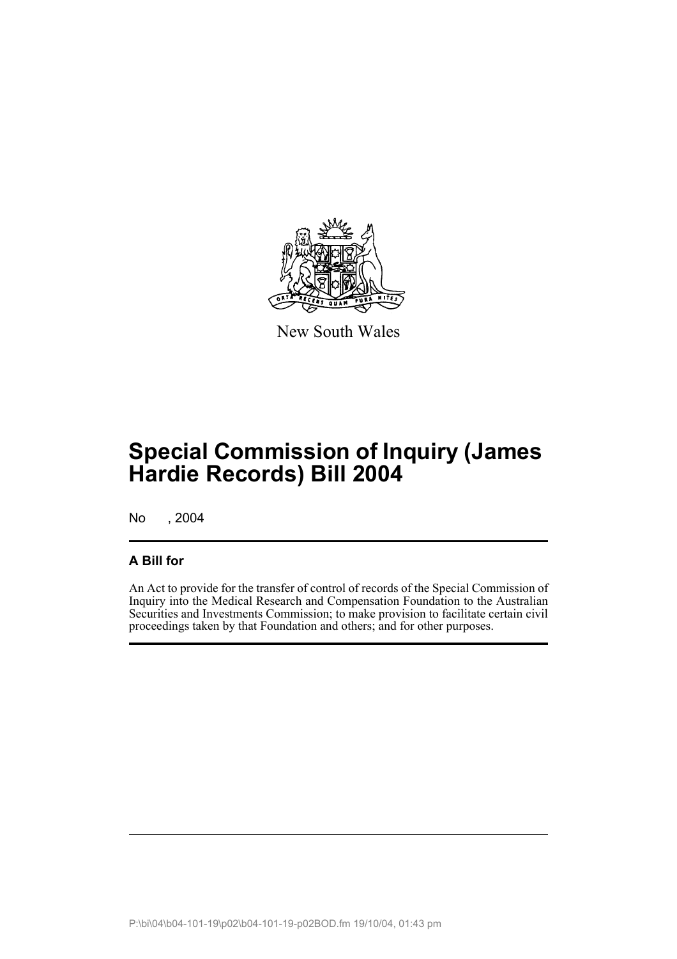

New South Wales

# **Special Commission of Inquiry (James Hardie Records) Bill 2004**

No , 2004

## **A Bill for**

An Act to provide for the transfer of control of records of the Special Commission of Inquiry into the Medical Research and Compensation Foundation to the Australian Securities and Investments Commission; to make provision to facilitate certain civil proceedings taken by that Foundation and others; and for other purposes.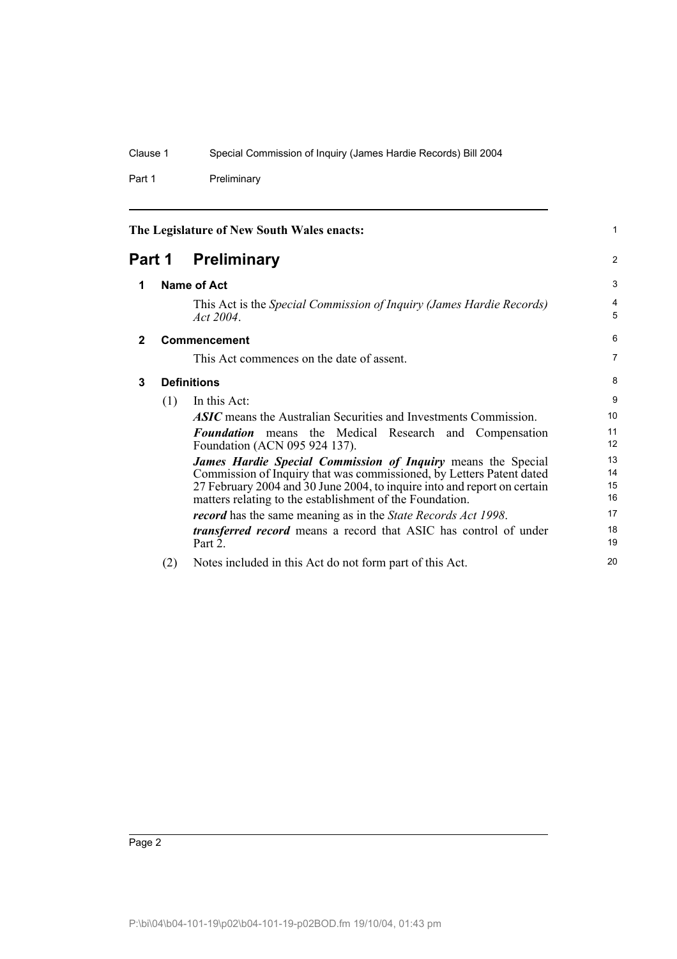Part 1 Preliminary

<span id="page-7-3"></span><span id="page-7-2"></span><span id="page-7-1"></span><span id="page-7-0"></span>

| The Legislature of New South Wales enacts: |                     |                                                                                                                                                                                                                                                                                     | 1                    |
|--------------------------------------------|---------------------|-------------------------------------------------------------------------------------------------------------------------------------------------------------------------------------------------------------------------------------------------------------------------------------|----------------------|
|                                            |                     | <b>Part 1 Preliminary</b>                                                                                                                                                                                                                                                           | $\overline{2}$       |
| 1                                          | <b>Name of Act</b>  |                                                                                                                                                                                                                                                                                     | 3                    |
|                                            |                     | This Act is the Special Commission of Inquiry (James Hardie Records)<br>Act 2004.                                                                                                                                                                                                   | 4<br>5               |
| $\mathbf{2}$                               | <b>Commencement</b> |                                                                                                                                                                                                                                                                                     | 6                    |
|                                            |                     | This Act commences on the date of assent.                                                                                                                                                                                                                                           | $\overline{7}$       |
| 3                                          | <b>Definitions</b>  |                                                                                                                                                                                                                                                                                     | 8                    |
|                                            | (1)                 | In this Act:                                                                                                                                                                                                                                                                        | 9                    |
|                                            |                     | <b>ASIC</b> means the Australian Securities and Investments Commission.                                                                                                                                                                                                             | 10                   |
|                                            |                     | <b>Foundation</b> means the Medical Research and Compensation<br>Foundation (ACN 095 924 137).                                                                                                                                                                                      | 11<br>12             |
|                                            |                     | <b>James Hardie Special Commission of Inquiry means the Special</b><br>Commission of Inquiry that was commissioned, by Letters Patent dated<br>27 February 2004 and 30 June 2004, to inquire into and report on certain<br>matters relating to the establishment of the Foundation. | 13<br>14<br>15<br>16 |
|                                            |                     | record has the same meaning as in the State Records Act 1998.                                                                                                                                                                                                                       | 17                   |
|                                            |                     | transferred record means a record that ASIC has control of under<br>Part 2.                                                                                                                                                                                                         | 18<br>19             |
|                                            | (2)                 | Notes included in this Act do not form part of this Act.                                                                                                                                                                                                                            | 20                   |

Page 2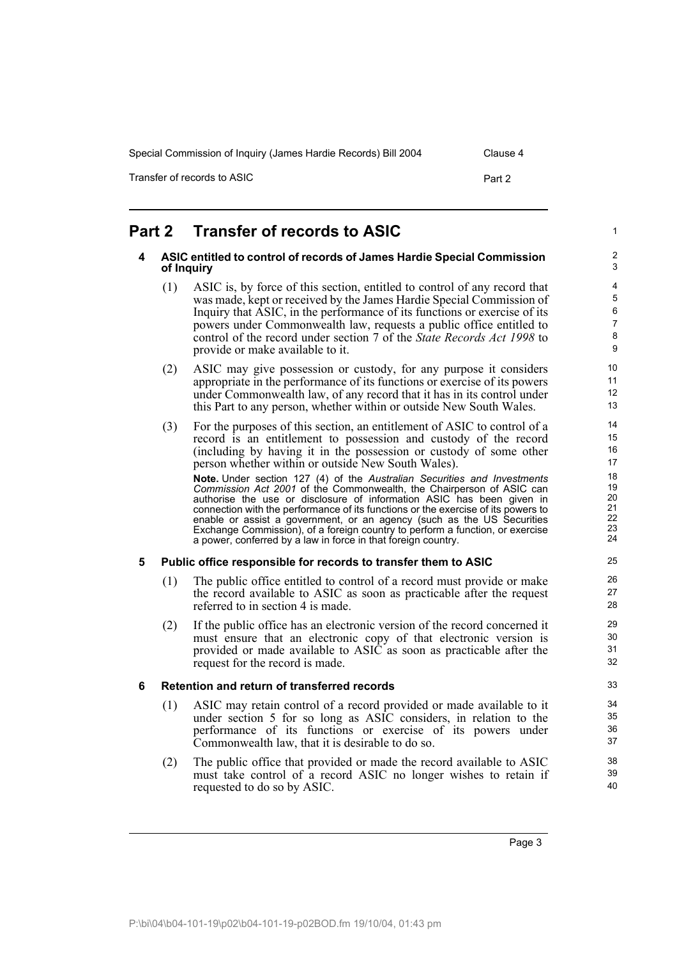Transfer of records to ASIC **Part 2** 

#### <span id="page-8-3"></span><span id="page-8-2"></span><span id="page-8-1"></span><span id="page-8-0"></span>**Part 2 Transfer of records to ASIC 4 ASIC entitled to control of records of James Hardie Special Commission of Inquiry** (1) ASIC is, by force of this section, entitled to control of any record that was made, kept or received by the James Hardie Special Commission of Inquiry that ASIC, in the performance of its functions or exercise of its powers under Commonwealth law, requests a public office entitled to control of the record under section 7 of the *State Records Act 1998* to provide or make available to it. (2) ASIC may give possession or custody, for any purpose it considers appropriate in the performance of its functions or exercise of its powers under Commonwealth law, of any record that it has in its control under this Part to any person, whether within or outside New South Wales. (3) For the purposes of this section, an entitlement of ASIC to control of a record is an entitlement to possession and custody of the record (including by having it in the possession or custody of some other person whether within or outside New South Wales). **Note.** Under section 127 (4) of the *Australian Securities and Investments Commission Act 2001* of the Commonwealth, the Chairperson of ASIC can authorise the use or disclosure of information ASIC has been given in connection with the performance of its functions or the exercise of its powers to enable or assist a government, or an agency (such as the US Securities Exchange Commission), of a foreign country to perform a function, or exercise a power, conferred by a law in force in that foreign country. **5 Public office responsible for records to transfer them to ASIC** (1) The public office entitled to control of a record must provide or make the record available to ASIC as soon as practicable after the request referred to in section 4 is made. (2) If the public office has an electronic version of the record concerned it must ensure that an electronic copy of that electronic version is provided or made available to ASIC as soon as practicable after the request for the record is made. **6 Retention and return of transferred records** (1) ASIC may retain control of a record provided or made available to it under section 5 for so long as ASIC considers, in relation to the performance of its functions or exercise of its powers under Commonwealth law, that it is desirable to do so. (2) The public office that provided or made the record available to ASIC must take control of a record ASIC no longer wishes to retain if requested to do so by ASIC. 1 2 3 4 5 6 7 8 9 10 11 12 13 14 15 16 17 18 19  $20$ 21 22 23  $24$ 25 26 27 28 29 30 31 32 33 34 35 36 37 38 39 40

Page 3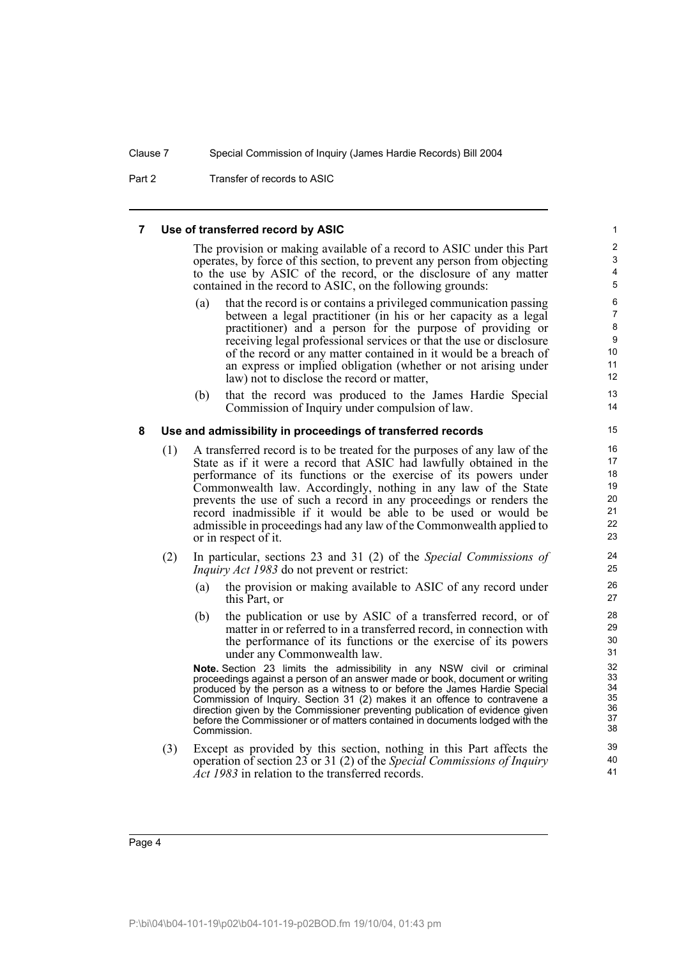Part 2 Transfer of records to ASIC

### <span id="page-9-0"></span>**7 Use of transferred record by ASIC**

The provision or making available of a record to ASIC under this Part operates, by force of this section, to prevent any person from objecting to the use by ASIC of the record, or the disclosure of any matter contained in the record to ASIC, on the following grounds:

- (a) that the record is or contains a privileged communication passing between a legal practitioner (in his or her capacity as a legal practitioner) and a person for the purpose of providing or receiving legal professional services or that the use or disclosure of the record or any matter contained in it would be a breach of an express or implied obligation (whether or not arising under law) not to disclose the record or matter,
- (b) that the record was produced to the James Hardie Special Commission of Inquiry under compulsion of law.

### <span id="page-9-1"></span>**8 Use and admissibility in proceedings of transferred records**

- (1) A transferred record is to be treated for the purposes of any law of the State as if it were a record that ASIC had lawfully obtained in the performance of its functions or the exercise of its powers under Commonwealth law. Accordingly, nothing in any law of the State prevents the use of such a record in any proceedings or renders the record inadmissible if it would be able to be used or would be admissible in proceedings had any law of the Commonwealth applied to or in respect of it.
- (2) In particular, sections 23 and 31 (2) of the *Special Commissions of Inquiry Act 1983* do not prevent or restrict:
	- (a) the provision or making available to ASIC of any record under this Part, or
	- (b) the publication or use by ASIC of a transferred record, or of matter in or referred to in a transferred record, in connection with the performance of its functions or the exercise of its powers under any Commonwealth law.

**Note.** Section 23 limits the admissibility in any NSW civil or criminal proceedings against a person of an answer made or book, document or writing produced by the person as a witness to or before the James Hardie Special Commission of Inquiry. Section 31 (2) makes it an offence to contravene a direction given by the Commissioner preventing publication of evidence given before the Commissioner or of matters contained in documents lodged with the Commission.

(3) Except as provided by this section, nothing in this Part affects the operation of section 23 or 31 (2) of the *Special Commissions of Inquiry Act 1983* in relation to the transferred records.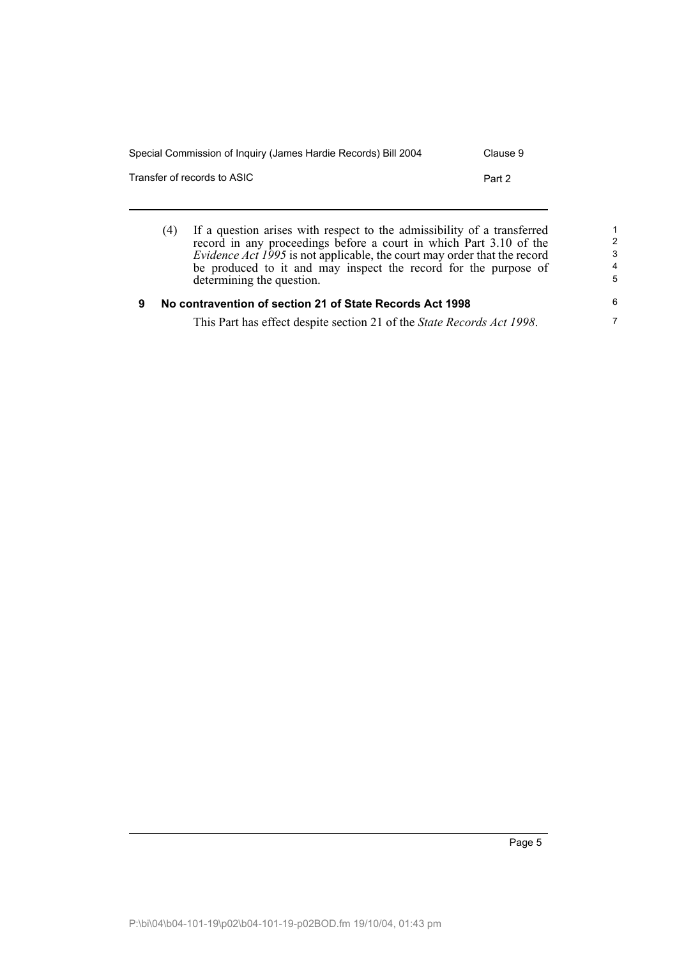| Special Commission of Inquiry (James Hardie Records) Bill 2004 | Clause 9 |
|----------------------------------------------------------------|----------|
| Transfer of records to ASIC                                    | Part 2   |
|                                                                |          |

<span id="page-10-0"></span>(4) If a question arises with respect to the admissibility of a transferred record in any proceedings before a court in which Part 3.10 of the *Evidence Act 1995* is not applicable, the court may order that the record be produced to it and may inspect the record for the purpose of determining the question. **9 No contravention of section 21 of State Records Act 1998** 1 2 3 4 5 6

This Part has effect despite section 21 of the *State Records Act 1998*.

7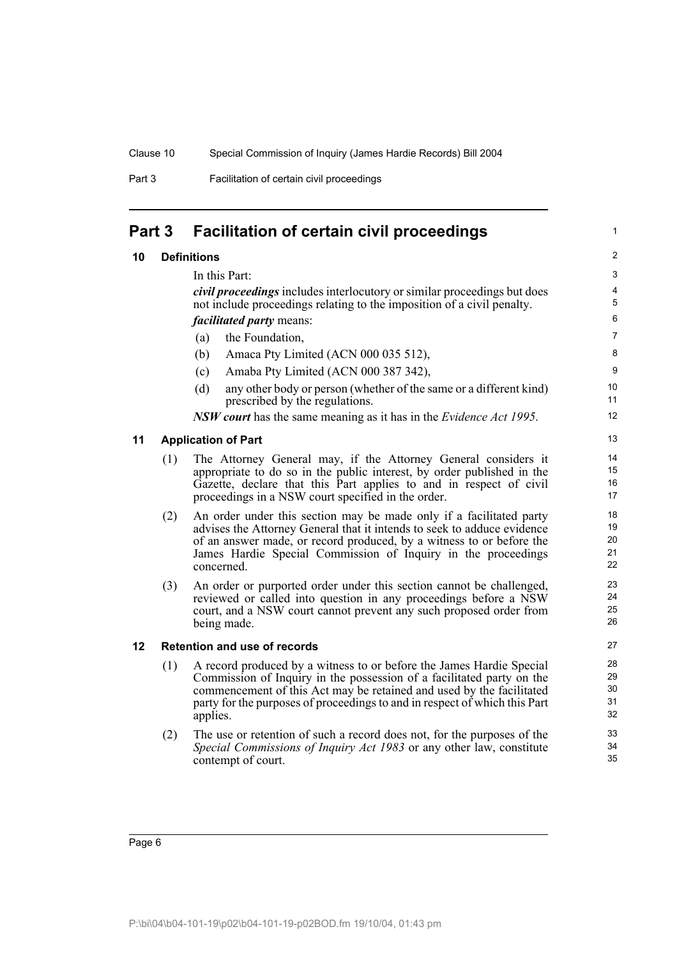Part 3 Facilitation of certain civil proceedings

## <span id="page-11-0"></span>**Part 3 Facilitation of certain civil proceedings**

## <span id="page-11-1"></span>**10 Definitions**

In this Part:

*civil proceedings* includes interlocutory or similar proceedings but does not include proceedings relating to the imposition of a civil penalty. *facilitated party* means:

- (a) the Foundation,
- (b) Amaca Pty Limited (ACN 000 035 512),
- (c) Amaba Pty Limited (ACN 000 387 342),
- (d) any other body or person (whether of the same or a different kind) prescribed by the regulations.

*NSW court* has the same meaning as it has in the *Evidence Act 1995*.

## <span id="page-11-2"></span>**11 Application of Part**

- (1) The Attorney General may, if the Attorney General considers it appropriate to do so in the public interest, by order published in the Gazette, declare that this Part applies to and in respect of civil proceedings in a NSW court specified in the order.
- (2) An order under this section may be made only if a facilitated party advises the Attorney General that it intends to seek to adduce evidence of an answer made, or record produced, by a witness to or before the James Hardie Special Commission of Inquiry in the proceedings concerned.
- (3) An order or purported order under this section cannot be challenged, reviewed or called into question in any proceedings before a NSW court, and a NSW court cannot prevent any such proposed order from being made.

## <span id="page-11-3"></span>**12 Retention and use of records**

- (1) A record produced by a witness to or before the James Hardie Special Commission of Inquiry in the possession of a facilitated party on the commencement of this Act may be retained and used by the facilitated party for the purposes of proceedings to and in respect of which this Part applies.
- (2) The use or retention of such a record does not, for the purposes of the *Special Commissions of Inquiry Act 1983* or any other law, constitute contempt of court.

P:\bi\04\b04-101-19\p02\b04-101-19-p02BOD.fm 19/10/04, 01:43 pm

1

26 27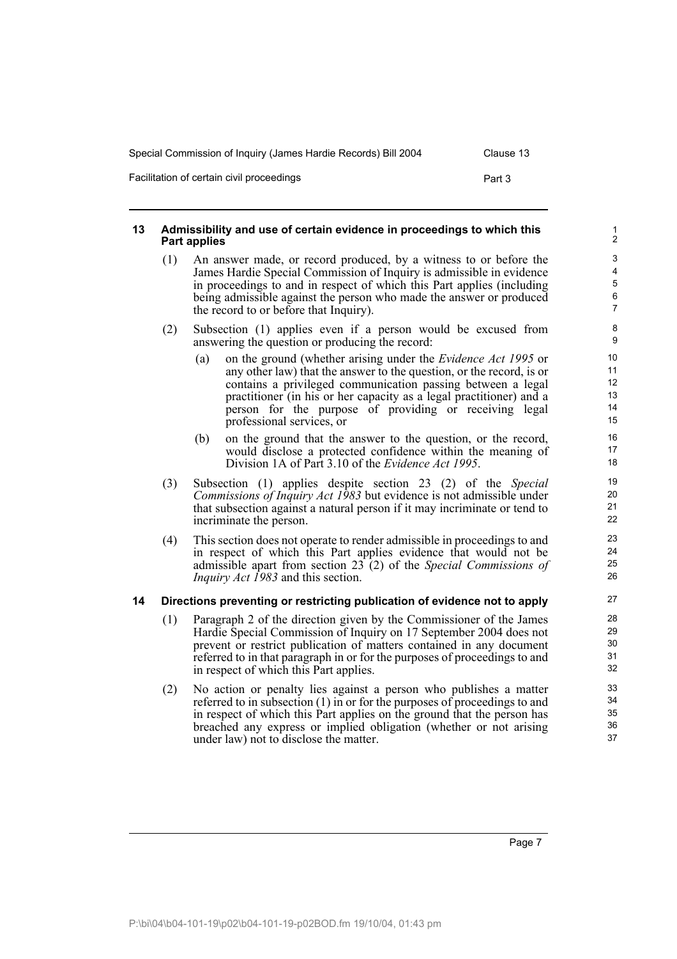| Special Commission of Inquiry (James Hardie Records) Bill 2004 |        |  |  |  |
|----------------------------------------------------------------|--------|--|--|--|
| Facilitation of certain civil proceedings                      | Part 3 |  |  |  |

## <span id="page-12-0"></span>**13 Admissibility and use of certain evidence in proceedings to which this Part applies**

- (1) An answer made, or record produced, by a witness to or before the James Hardie Special Commission of Inquiry is admissible in evidence in proceedings to and in respect of which this Part applies (including being admissible against the person who made the answer or produced the record to or before that Inquiry).
- (2) Subsection (1) applies even if a person would be excused from answering the question or producing the record:
	- (a) on the ground (whether arising under the *Evidence Act 1995* or any other law) that the answer to the question, or the record, is or contains a privileged communication passing between a legal practitioner (in his or her capacity as a legal practitioner) and a person for the purpose of providing or receiving legal professional services, or
	- (b) on the ground that the answer to the question, or the record, would disclose a protected confidence within the meaning of Division 1A of Part 3.10 of the *Evidence Act 1995*.
- (3) Subsection (1) applies despite section 23 (2) of the *Special Commissions of Inquiry Act 1983* but evidence is not admissible under that subsection against a natural person if it may incriminate or tend to incriminate the person.
- (4) This section does not operate to render admissible in proceedings to and in respect of which this Part applies evidence that would not be admissible apart from section 23 (2) of the *Special Commissions of Inquiry Act 1983* and this section.

## <span id="page-12-1"></span>**14 Directions preventing or restricting publication of evidence not to apply**

- (1) Paragraph 2 of the direction given by the Commissioner of the James Hardie Special Commission of Inquiry on 17 September 2004 does not prevent or restrict publication of matters contained in any document referred to in that paragraph in or for the purposes of proceedings to and in respect of which this Part applies.
- (2) No action or penalty lies against a person who publishes a matter referred to in subsection (1) in or for the purposes of proceedings to and in respect of which this Part applies on the ground that the person has breached any express or implied obligation (whether or not arising under law) not to disclose the matter.

Page 7